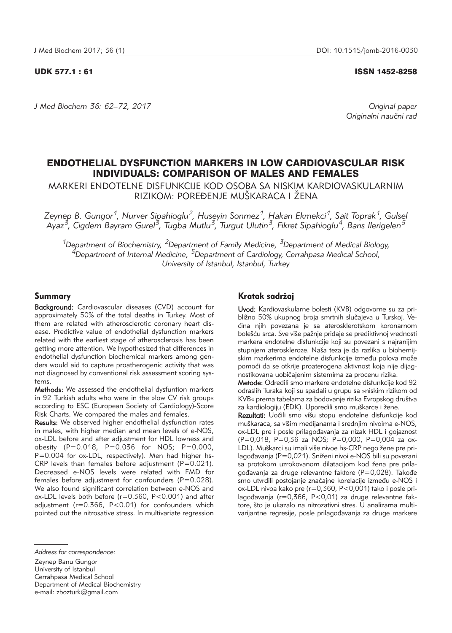#### UDK 577.1 : 61 ISSN 1452-8258

*J Med Biochem 36: 62–72, 2017 Original paper*

Originalni naučni rad

# ENDOTHELIAL DYSFUNCTION MARKERS IN LOW CARDIOVASCULAR RISK INDIVIDUALS: COMPARISON OF MALES AND FEMALES

MARKERI ENDOTELNE DISFUNKCIJE KOD OSOBA SA NISKIM KARDIOVASKULARNIM RIZIKOM: POREĐENJE MUŠKARACA I ŽENA

Zeynep B. Gungor<sup>1</sup>, Nurver Sipahioglu<sup>2</sup>, Huseyin Sonmez<sup>1</sup>, Hakan Ekmekci<sup>1</sup>, Sait Toprak<sup>1</sup>, Gulsel *Ayaz3, Cigdem Bayram Gurel3, Tugba Mutlu3, Turgut Ulutin3, Fikret Sipahioglu4, Barıs Ilerigelen5*

*1Department of Biochemistry, 2Department of Family Medicine, 3Department of Medical Biology, 4Department of Internal Medicine, 5Department of Cardiology, Cerrahpasa Medical School, University of Istanbul, Istanbul, Turkey*

## Summary

Background: Cardiovascular diseases (CVD) account for approximately 50% of the total deaths in Turkey. Most of them are related with atherosclerotic coronary heart disease. Predictive value of endothelial dysfunction markers related with the earliest stage of atherosclerosis has been getting more attention. We hypothesized that differences in endothelial dysfunction biochemical markers among genders would aid to capture proatherogenic activity that was not diagnosed by conventional risk assessment scoring systems.

Methods: We assessed the endothelial dysfuntion markers in 92 Turkish adults who were in the »low CV risk group« according to ESC (European Society of Cardiology)-Score Risk Charts. We compared the males and females.

Results: We observed higher endothelial dysfunction rates in males, with higher median and mean levels of e-NOS, ox-LDL before and after adjustment for HDL lowness and obesity (P=0.018, P=0.036 for NOS; P=0.000, P=0.004 for ox-LDL, respectively). Men had higher hs-CRP levels than females before adjustment ( $P=0.021$ ). Decreased e-NOS levels were related with FMD for females before adjustment for confounders (P=0.028). We also found significant correlation between e-NOS and ox-LDL levels both before (r=0.360, P<0.001) and after adjustment (r=0.366, P<0.01) for confounders which pointed out the nitrosative stress. In multivariate regression

# Kratak sadržaj

Uvod: Kardiovaskularne bolesti (KVB) odgovorne su za približno 50% ukupnog broja smrtnih slučajeva u Turskoj. Ve-}ina njih povezana je sa aterosklerotskom koronarnom bolešću srca. Sve više pažnje pridaje se prediktivnoj vrednosti markera endotelne disfunkcije koji su povezani s najranijim stupnjem ateroskleroze. Naša teza je da razlika u biohemijskim markerima endotelne disfunkcije između polova može pomoći da se otkrije proaterogena aktivnost koja nije dijagnostikovana uobičajenim sistemima za procenu rizika.

Metode: Odredili smo markere endotelne disfunkcije kod 92 odraslih Turaka koji su spadali u grupu sa »niskim rizikom od KVB« prema tabelama za bodovanje rizika Evropskog društva za kardiologiju (EDK). Uporedili smo muškarce i žene.

Rezultati: Uočili smo višu stopu endotelne disfunkcije kod muškaraca, sa višim medijanama i srednjim nivoima e-NOS, ox-LDL pre i posle prilagođavanja za nizak HDL i gojaznost (P=0,018, P=0,36 za NOS; P=0,000, P=0,004 za ox-LDL). Muškarci su imali više nivoe hs-CRP nego žene pre prilagođavanja (P=0,021). Sniženi nivoi e-NOS bili su povezani sa protokom uzrokovanom dilatacijom kod žena pre prilagođavanja za druge relevantne faktore (P=0,028). Takođe smo utvrdili postojanje značajne korelacije između e-NOS i ox-LDL nivoa kako pre (r=0,360, P<0,001) tako i posle prilagođavanja (r=0,366, P<0,01) za druge relevantne faktore, što je ukazalo na nitrozativni stres. U analizama multivarijantne regresije, posle prilagođavanja za druge markere

Zeynep Banu Gungor University of Istanbul Cerrahpasa Medical School Department of Medical Biochemistry e-mail: zbozturk@gmail.com

*Address for correspondence:*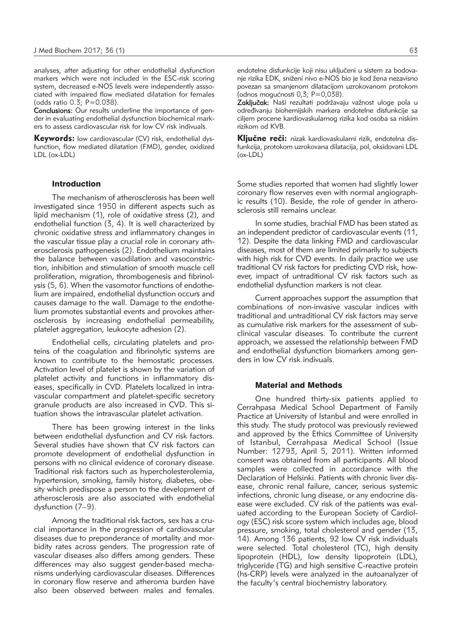analyses, after adjusting for other endothelial dysfunction markers which were not included in the ESC-risk scoring system, decreased e-NOS levels were independently asssociated with impaired flow mediated dilatation for females (odds ratio  $0.\overline{3}$ ; P=0.038).

Conclusions: Our results underline the importance of gender in evaluating endothelial dysfunction biochemical markers to assess cardiovascular risk for low CV risk indivuals.

Keywords: low cardiovascular (CV) risk, endothelial dysfunction, flow mediated dilatation (FMD), gender, oxidized LDL (ox-LDL)

#### Introduction

The mechanism of atherosclerosis has been well investigated since 1950 in different aspects such as lipid mechanism (1), role of oxidative stress (2), and endothelial function (3, 4). It is well characterized by chronic oxidative stress and inflammatory changes in the vascular tissue play a crucial role in coronary atherosclerosis pathogenesis (2). Endothelium maintains the balance between vasodilation and vasoconstriction, inhibition and stimulation of smooth muscle cell proliferation, migration, thrombogenesis and fibrinolysis (5, 6). When the vasomotor functions of endothelium are impaired, endothelial dysfunction occurs and causes damage to the wall. Damage to the endothelium promotes substantial events and provokes atherosclerosis by increasing endothelial permeability, platelet aggregation, leukocyte adhesion (2).

Endothelial cells, circulating platelets and proteins of the coagulation and fibrinolytic systems are known to contribute to the hemostatic processes. Activation level of platelet is shown by the variation of platelet activity and functions in inflammatory diseases, specifically in CVD. Platelets localized in intravascular compartment and platelet-specific secretory granule products are also increased in CVD. This situation shows the intravascular platelet activation.

There has been growing interest in the links between endothelial dysfunction and CV risk factors. Several studies have shown that CV risk factors can promote development of endothelial dysfunction in persons with no clinical evidence of coronary disease. Traditional risk factors such as hypercholesterolemia, hypertension, smoking, family history, diabetes, obesity which predispose a person to the development of atherosclerosis are also associated with endothelial dysfunction (7–9).

Among the traditional risk factors, sex has a crucial importance in the progression of cardiovascular diseases due to preponderance of mortality and morbidity rates across genders. The progression rate of vascular diseases also differs among genders. These differences may also suggest gender-based mechanisms underlying cardiovascular diseases. Differences in coronary flow reserve and atheroma burden have also been observed between males and females. endotelne disfunkcije koji nisu uključeni u sistem za bodovanie rizika EDK, sniženi nivo e-NOS bio je kod žena nezavisno povezan sa smanjenom dilatacijom uzrokovanom protokom (odnos mogućnosti 0,3; P=0,038).

Zaključak: Naši rezultati podržavaju važnost uloge pola u određivanju biohemijskih markera endotelne disfunkcije sa ciljem procene kardiovaskularnog rizika kod osoba sa niskim rizikom od KVB.

Kliučne reči: nizak kardiovaskularni rizik, endotelna disfunkcija, protokom uzrokovana dilatacija, pol, oksidovani LDL (ox-LDL)

Some studies reported that women had slightly lower coronary flow reserves even with normal angiographic results (10). Beside, the role of gender in atherosclerosis still remains unclear.

In some studies, brachial FMD has been stated as an independent predictor of cardiovascular events (11, 12). Despite the data linking FMD and cardiovascular diseases, most of them are limited primarily to subjects with high risk for CVD events. In daily practice we use traditional CV risk factors for predicting CVD risk, however, impact of untraditional CV risk factors such as endothelial dysfunction markers is not clear.

Current approaches support the assumption that combinations of non-invasive vascular indices with traditional and untraditional CV risk factors may serve as cumulative risk markers for the assessment of subclinical vascular diseases. To contribute the current approach, we assessed the relationship between FMD and endothelial dysfunction biomarkers among genders in low CV risk indivuals.

#### Material and Methods

One hundred thirty-six patients applied to Cerrahpasa Medical School Department of Family Practice at University of Istanbul and were enrolled in this study. The study protocol was previously reviewed and approved by the Ethics Committee of University of Istanbul, Cerrahpasa Medical School (Issue Number: 12793, April 5, 2011). Written informed consent was obtained from all participants. All blood samples were collected in accordance with the Declaration of Helsinki. Patients with chronic liver disease, chronic renal failure, cancer, serious systemic infections, chronic lung disease, or any endocrine disease were excluded. CV risk of the patients was evaluated according to the European Society of Cardiology (ESC) risk score system which includes age, blood pressure, smoking, total cholesterol and gender (13, 14). Among 136 patients, 92 low CV risk individuals were selected. Total cholesterol (TC), high density lipoprotein (HDL), low density lipoprotein (LDL), triglyceride (TG) and high sensitive C-reactive protein (hs-CRP) levels were analyzed in the autoanalyzer of the faculty's central biochemistry laboratory.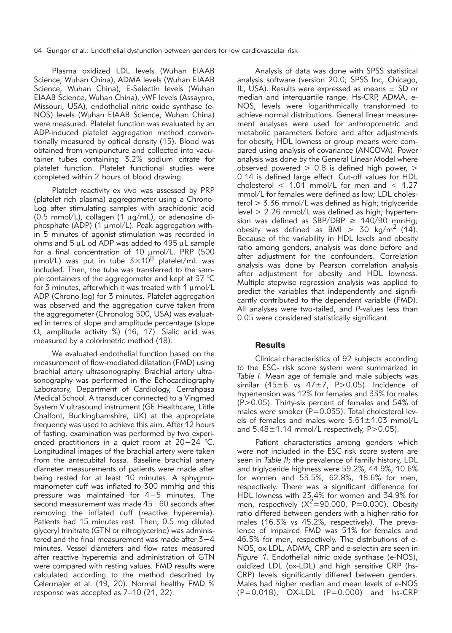Plasma oxidized LDL levels (Wuhan EIAAB Science, Wuhan China), ADMA levels (Wuhan EIAAB Science, Wuhan China), E-Selectin levels (Wuhan EIAAB Science, Wuhan China), vWF levels (Assaypro, Missouri, USA), endothelial nitric oxide synthase (e-NOS) levels (Wuhan EIAAB Science, Wuhan China) were measured. Platelet function was evaluated by an ADP-induced platelet aggregation method conventionally measured by optical density (15). Blood was obtained from venipuncture and collected into vacutainer tubes containing 3.2% sodium citrate for platelet function. Platelet functional studies were completed within 2 hours of blood drawing.

Platelet reactivity *ex vivo* was assessed by PRP (platelet rich plasma) aggregometer using a Chrono-Log after stimulating samples with arachidonic acid  $(0.5 \text{ mmol/L})$ , collagen  $(1 \text{ µq/mL})$ , or adenosine diphosphate (ADP) (1  $\mu$ mol/L). Peak aggregation within 5 minutes of agonist stimulation was recorded in ohms and  $5 \mu L$  od ADP was added to 495  $\mu L$  sample for a final concentration of 10  $\mu$ mol/L. PRP (500  $\mu$ mol/L) was put in tube  $3 \times 10^8$  platelet/mL was included. Then, the tube was transferred to the sample containers of the aggregometer and kept at 37 °C for 3 minutes, afterwhich it was treated with 1  $\mu$ mol/L ADP (Chrono log) for 3 minutes. Platelet aggregation was observed and the aggregation curve taken from the aggregometer (Chronolog 500, USA) was evaluated in terms of slope and amplitude percentage (slope  $\Omega$ , amplitude activity %) (16, 17). Sialic acid was measured by a colorimetric method (18).

We evaluated endothelial function based on the measurement of flow-mediated dilatation (FMD) using brachial artery ultrasonography. Brachial artery ultrasonography was performed in the Echocardiography Laboratory, Department of Cardiology, Cerrahpasa Medical School. A transducer connected to a Vingmed System V ultrasound instrument (GE Healthcare, Little Chalfont, Buckinghamshire, UK) at the appropriate frequency was used to achieve this aim. After 12 hours of fasting, examination was performed by two experienced practitioners in a quiet room at 20−24 °C. Longitudinal images of the brachial artery were taken from the antecubital fossa. Baseline brachial artery diameter measurements of patients were made after being rested for at least 10 minutes. A sphygmomanometer cuff was inflated to 300 mmHg and this pressure was maintained for 4−5 minutes. The second measurement was made 45−60 seconds after removing the inflated cuff (reactive hyperemia). Patients had 15 minutes rest. Then, 0.5 mg diluted glyceryl trinitrate (GTN or nitroglycerine) was administered and the final measurement was made after 3-4 minutes. Vessel diameters and flow rates measured after reactive hyperemia and administration of GTN were compared with resting values. FMD results were calculated according to the method described by Celermajer et al. (19, 20). Normal healthy FMD % response was accepted as 7–10 (21, 22).

Analysis of data was done with SPSS statistical analysis software (version 20.0; SPSS Inc, Chicago, IL, USA). Results were expressed as means ± SD or median and interquartile range. Hs-CRP, ADMA, e-NOS, levels were logarithmically transformed to achieve normal distributions. General linear measurement analyses were used for anthropometric and metabolic parameters before and after adjustments for obesity, HDL lowness or group means were compared using analysis of covariance (ANCOVA). Power analysis was done by the General Linear Model where observed powered  $> 0.8$  is defined high power,  $>$ 0.14 is defined large effect. Cut-off values for HDL cholesterol  $<$  1.01 mmol/L for men and  $<$  1.27 mmol/L for females were defined as low; LDL cholesterol > 3.36 mmol/L was defined as high; triglyceride level > 2.26 mmol/L was defined as high; hypertension was defined as SBP/DBP  $\geq$  140/90 mmHg; obesity was defined as BMI  $>$  30 kg/m<sup>2</sup> (14). Because of the variability in HDL levels and obesity ratio among genders, analysis was done before and after adjustment for the confounders. Correlation analysis was done by Pearson correlation analysis after adjustment for obesity and HDL lowness. Multiple stepwise regression analysis was applied to predict the variables that independently and significantly contributed to the dependent variable (FMD). All analyses were two-tailed, and *P*-values less than 0.05 were considered statistically significant.

#### **Results**

Clinical characteristics of 92 subjects according to the ESC- risk score system were summarized in *Table I*. Mean age of female and male subjects was similar (45 $\pm$ 6 vs 47 $\pm$ 7, P>0.05). Incidence of hypertension was 12% for females and 33% for males (P>0.05). Thirty-six percent of females and 54% of males were smoker ( $P=0.035$ ). Total cholesterol levels of females and males were  $5.61 \pm 1.03$  mmol/L and  $5.48 \pm 1.14$  mmol/L respectively,  $P > 0.05$ ).

Patient characteristics among genders which were not included in the ESC risk score system are seen in *Table II*; the prevalence of family history, LDL and triglyceride highness were 59.2%, 44.9%, 10.6% for women and 53.5%, 62.8%, 18.6% for men, respectively. There was a significant difference for HDL lowness with 23.4% for women and 34.9% for men, respectively  $(X^2=90.000, P=0.000)$ . Obesity ratio differed between genders with a higher ratio for males (16.3% vs 45.2%, respectively). The prevalence of impaired FMD was 51% for females and 46.5% for men, respectively. The distributions of e-NOS, ox-LDL, ADMA, CRP and e-selectin are seen in *Figure 1*. Endothelial nitric oxide synthase (e-NOS), oxidized LDL (ox-LDL) and high sensitive CRP (hs-CRP) levels significantly differed between genders. Males had higher median and mean levels of e-NOS (P=0.018), OX-LDL (P=0.000) and hs-CRP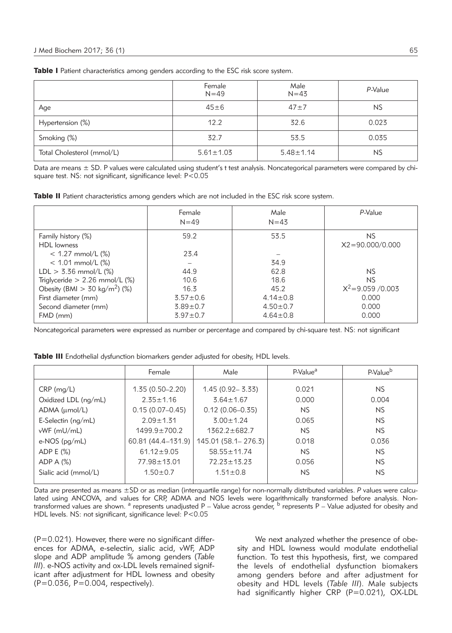|                            | Female<br>$N = 49$ | Male<br>$N = 43$ | P-Value   |
|----------------------------|--------------------|------------------|-----------|
| Age                        | $45\pm 6$          | $47 + 7$         | NS        |
| Hypertension (%)           | 12.2               | 32.6             | 0.023     |
| Smoking (%)                | 32.7               | 53.5             | 0.035     |
| Total Cholesterol (mmol/L) | $5.61 \pm 1.03$    | $5.48 \pm 1.14$  | <b>NS</b> |

Table I Patient characteristics among genders according to the ESC risk score system.

Data are means  $\pm$  SD. P values were calculated using student's t test analysis. Noncategorical parameters were compared by chisquare test. NS: not significant, significance level: P<0.05

Table II Patient characteristics among genders which are not included in the ESC risk score system.

|                                           | Female<br>$N = 49$ | Male<br>$N = 43$ | P-Value                          |
|-------------------------------------------|--------------------|------------------|----------------------------------|
| Family history (%)<br><b>HDL</b> lowness  | 59.2               | 53.5             | <b>NS</b><br>$X2 = 90.000/0.000$ |
| $<$ 1.27 mmol/L $(\%)$                    | 23.4               |                  |                                  |
| $< 1.01$ mmol/L $(\%)$                    |                    | 34.9             |                                  |
| $LDL > 3.36$ mmol/L $(\%)$                | 44.9               | 62.8             | <b>NS</b>                        |
| Triglyceride $> 2.26$ mmol/L (%)          | 10.6               | 18.6             | <b>NS</b>                        |
| Obesity (BMI > 30 kg/m <sup>2</sup> ) (%) | 16.3               | 45.2             | $X^2 = 9.059 / 0.003$            |
| First diameter (mm)                       | $3.57 \pm 0.6$     | $4.14 \pm 0.8$   | 0.000                            |
| Second diameter (mm)                      | $3.89 \pm 0.7$     | $4.50 \pm 0.7$   | 0.000                            |
| FMD (mm)                                  | $3.97 \pm 0.7$     | $4.64 \pm 0.8$   | 0.000                            |

Noncategorical parameters were expressed as number or percentage and compared by chi-square test. NS: not significant

**Table III** Endothelial dysfunction biomarkers gender adjusted for obesity, HDL levels.

|                      | Female             | Male                  | P-Value <sup>a</sup> | P-Value <sup>b</sup> |
|----------------------|--------------------|-----------------------|----------------------|----------------------|
| $CRP$ (mg/L)         | $1.35(0.50-2.20)$  | $1.45(0.92 - 3.33)$   | 0.021                | NS.                  |
| Oxidized LDL (ng/mL) | $2.35 \pm 1.16$    | $3.64 \pm 1.67$       | 0.000                | 0.004                |
| $ADMA$ ( $µmol/L$ )  | $0.15(0.07-0.45)$  | $0.12(0.06 - 0.35)$   | <b>NS</b>            | <b>NS</b>            |
| E-Selectin (ng/mL)   | $2.09 \pm 1.31$    | $3.00 \pm 1.24$       | 0.065                | <b>NS</b>            |
| vWF (mU/mL)          | $1499.9 \pm 700.2$ | $1362.2 \pm 682.7$    | <b>NS</b>            | <b>NS</b>            |
| $e$ -NOS ( $pq/mL$ ) | 60.81 (44.4–131.9) | 145.01 (58.1 - 276.3) | 0.018                | 0.036                |
| ADP E $(\%)$         | $61.12 \pm 9.05$   | $58.55 \pm 11.74$     | <b>NS</b>            | <b>NS</b>            |
| ADP $A(\%)$          | $77.98 \pm 13.01$  | $72.23 \pm 13.23$     | 0.056                | <b>NS</b>            |
| Sialic acid (mmol/L) | $1.50 \pm 0.7$     | $1.51 \pm 0.8$        | <b>NS</b>            | NS.                  |

Data are presented as means ±SD or as median (interquartile range) for non-normally distributed variables. *P* values were calculated using ANCOVA, and values for CRP, ADMA and NOS levels were logarithmically transformed before analysis. Nontransformed values are shown. <sup>a</sup> represents unadjusted P – Value across gender, <sup>b</sup> represents P – Value adjusted for obesity and HDL levels. NS: not significant, significance level: P<0.05

 $(P=0.021)$ . However, there were no significant differences for ADMA, e-selectin, sialic acid, vWF, ADP slope and ADP amplitude % among genders (*Table III*). e-NOS activity and ox-LDL levels remained significant after adjustment for HDL lowness and obesity  $(P=0.036, P=0.004, respectively).$ 

We next analyzed whether the presence of obesity and HDL lowness would modulate endothelial function. To test this hypothesis, first, we compared the levels of endothelial dysfunction biomakers among genders before and after adjustment for obesity and HDL levels (*Table III*). Male subjects had significantly higher CRP (P=0.021), OX-LDL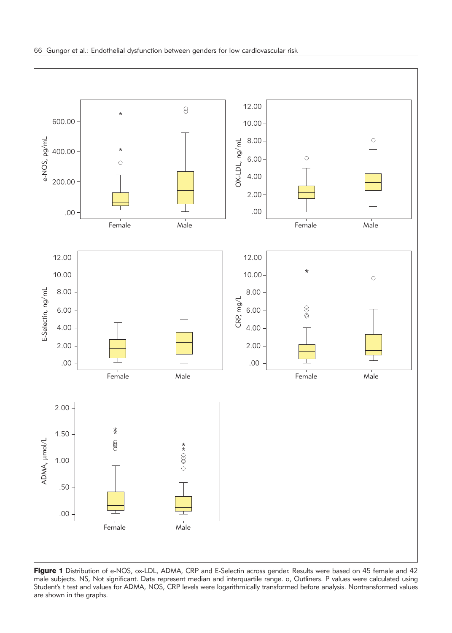

66 Gungor et al.: Endothelial dysfunction between genders for low cardiovascular risk

Figure 1 Distribution of e-NOS, ox-LDL, ADMA, CRP and E-Selectin across gender. Results were based on 45 female and 42 male subjects. NS, Not significant. Data represent median and interquartile range. o, Outliners. P values were calculated using Student's t test and values for ADMA, NOS, CRP levels were logarithmically transformed before analysis. Nontransformed values are shown in the graphs.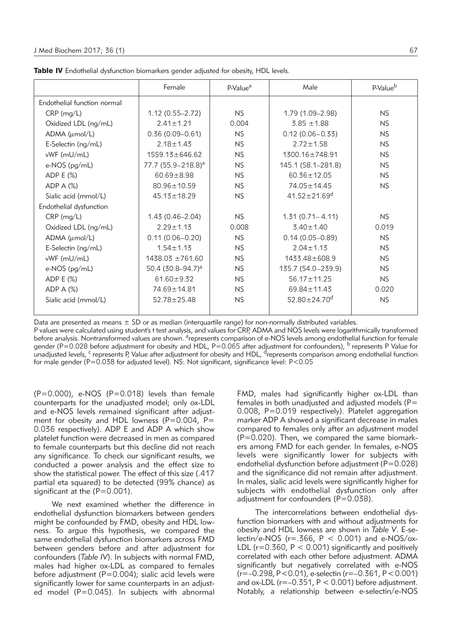|                             | Female                         | P-Value <sup>a</sup> | Male                           | P-Value <sup>b</sup> |
|-----------------------------|--------------------------------|----------------------|--------------------------------|----------------------|
| Endothelial function normal |                                |                      |                                |                      |
| $CRP$ (mg/L)                | $1.12(0.55 - 2.72)$            | <b>NS</b>            | 1.79 (1.09-2.98)               | <b>NS</b>            |
| Oxidized LDL (ng/mL)        | $2.41 \pm 1.21$                | 0.004                | $3.85 \pm 1.88$                | <b>NS</b>            |
| ADMA (µmol/L)               | $0.36(0.09 - 0.61)$            | <b>NS</b>            | $0.12(0.06 - 0.33)$            | <b>NS</b>            |
| E-Selectin (ng/mL)          | $2.18 \pm 1.43$                | <b>NS</b>            | $2.72 \pm 1.58$                | <b>NS</b>            |
| vWF (mU/mL)                 | $1559.13 \pm 646.62$           | <b>NS</b>            | 1300.16±748.91                 | <b>NS</b>            |
| e-NOS (pg/mL)               | 77.7 (55.9-218.8) <sup>a</sup> | <b>NS</b>            | 145.1 (58.1-281.8)             | NS.                  |
| ADP E $(\%)$                | $60.69 + 8.98$                 | <b>NS</b>            | $60.36 \pm 12.05$              | <b>NS</b>            |
| $ADP A$ $(\%)$              | $80.96 \pm 10.59$              | <b>NS</b>            | 74.05 ± 14.45                  | <b>NS</b>            |
| Sialic acid (mmol/L)        | $45.13 \pm 18.29$              | <b>NS</b>            | $41.52 \pm 21.69$ <sup>d</sup> |                      |
| Endothelial dysfunction     |                                |                      |                                |                      |
| $CRP$ (mg/L)                | $1.43(0.46 - 2.04)$            | <b>NS</b>            | $1.31(0.71 - 4.11)$            | <b>NS</b>            |
| Oxidized LDL (ng/mL)        | $2.29 \pm 1.13$                | 0.008                | $3.40 \pm 1.40$                | 0.019                |
| $ADMA$ ( $µmol/L$ )         | $0.11(0.06 - 0.20)$            | <b>NS</b>            | $0.14(0.05 - 0.89)$            | <b>NS</b>            |
| E-Selectin (ng/mL)          | $1.54 \pm 1.13$                | <b>NS</b>            | $2.04 \pm 1.13$                | <b>NS</b>            |
| vWF (mU/mL)                 | $1438.03 \pm 761.60$           | <b>NS</b>            | 1433.48±608.9                  | <b>NS</b>            |
| e-NOS (pg/mL)               | 50.4 (30.8-94.7) <sup>a</sup>  | <b>NS</b>            | 135.7 (54.0-239.9)             | <b>NS</b>            |
| ADP E $(\%)$                | $61.60 \pm 9.32$               | <b>NS</b>            | $56.17 \pm 11.25$              | NS.                  |
| ADP A (%)                   | 74.69±14.81                    | <b>NS</b>            | $69.84 \pm 11.43$              | 0.020                |
| Sialic acid (mmol/L)        | $52.78 \pm 25.48$              | <b>NS</b>            | $52.80 \pm 24.70$ <sup>d</sup> | <b>NS</b>            |

Table IV Endothelial dysfunction biomarkers gender adjusted for obesity, HDL levels.

Data are presented as means  $\pm$  SD or as median (interquartile range) for non-normally distributed variables.

P values were calculated using student's t test analysis, and values for CRP, ADMA and NOS levels were logarithmically transformed before analysis. Nontransformed values are shown. <sup>a</sup>represents comparison of e-NOS levels among endothelial function for female gender (P=0.028 before adjustment for obesity and HDL, P=0.065 after adjustment for confounders),  $<sup>b</sup>$  represents P Value for</sup> unadjusted levels, <sup>c</sup> represents P, Value after adjustment for obesity and HDL, <sup>d</sup>represents comparison among endothelial function for male gender (P=0.038 for adjusted level). NS: Not significant, significance level: P<0.05

(P=0.000), e-NOS (P=0.018) levels than female counterparts for the unadjusted model; only ox-LDL and e-NOS levels remained significant after adjustment for obesity and HDL lowness (P=0.004, P= 0.036 respectively). ADP E and ADP A which show platelet function were de creased in men as compared to female counterparts but this decline did not reach any significance. To check our significant results, we conducted a power analysis and the effect size to show the statistical power. The effect of this size (.417 partial eta squared) to be detected (99% chance) as significant at the  $(P=0.001)$ .

We next examined whether the difference in endothelial dysfunction biomarkers between genders might be confounded by FMD, obesity and HDL lowness. To argue this hypothesis, we compared the same endothelial dysfunction biomarkers across FMD between genders before and after adjustment for confounders (*Table IV*). In subjects with normal FMD, males had higher ox-LDL as compared to females before adjustment ( $P=0.004$ ); sialic acid levels were significantly lower for same counterparts in an adjusted model (P=0.045). In subjects with abnormal FMD, males had significantly higher ox-LDL than females in both unadjusted and adjusted models ( $P=$ 0.008, P=0.019 respectively). Platelet aggregation marker ADP A showed a significant decrease in males compared to females only after an adjustment model  $(P=0.020)$ . Then, we compared the same biomarkers among FMD for each gender. In females, e-NOS levels were significantly lower for subjects with endothelial dysfunction before adjustment ( $P=0.028$ ) and the significance did not remain after adjustment. In males, sialic acid levels were significantly higher for subjects with endothelial dysfunction only after adjustment for confounders (P=0.038).

The intercorrelations between endothelial dysfunction biomarkers with and without adjustments for obesity and HDL lowness are shown in *Table V*. E-se lectin/e-NOS (r=.366, P < 0.001) and e-NOS/ox-LDL ( $r=0.360$ ,  $P < 0.001$ ) significantly and positively correlated with each other before adjustment. ADMA significantly but negatively correlated with e-NOS (r=–0.298, P<0.01), e-selectin (r=–0.361, P<0.001) and ox-LDL ( $r=-0.351$ ,  $P < 0.001$ ) before adjustment. Notably, a relationship between e-selectin/e-NOS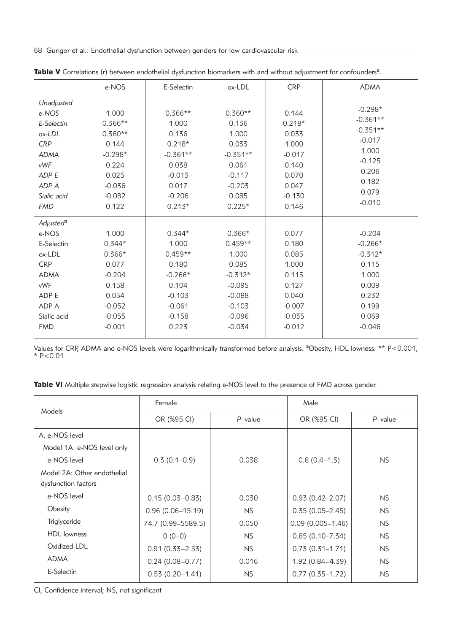|                                                                                                                                           | e-NOS                                                                                                    | E-Selectin                                                                                                  | ox-LDL                                                                                                           | <b>CRP</b>                                                                                      | ADMA                                                                                                          |
|-------------------------------------------------------------------------------------------------------------------------------------------|----------------------------------------------------------------------------------------------------------|-------------------------------------------------------------------------------------------------------------|------------------------------------------------------------------------------------------------------------------|-------------------------------------------------------------------------------------------------|---------------------------------------------------------------------------------------------------------------|
| Unadjusted<br>e-NOS<br>E-Selectin<br>ox-LDL<br><b>CRP</b><br><b>ADMA</b><br>vWF<br>ADP E<br>ADP A<br>Sialic acid<br><b>FMD</b>            | 1.000<br>$0.366**$<br>$0.360**$<br>0.144<br>$-0.298*$<br>0.224<br>0.025<br>$-0.036$<br>$-0.082$<br>0.122 | $0.366**$<br>1.000<br>0.136<br>$0.218*$<br>$-0.361**$<br>0.038<br>$-0.013$<br>0.017<br>$-0.206$<br>$0.213*$ | $0.360**$<br>0.136<br>1.000<br>0.033<br>$-0.351**$<br>0.061<br>$-0.117$<br>$-0.203$<br>0.085<br>$0.225*$         | 0.144<br>$0.218*$<br>0.033<br>1.000<br>$-0.017$<br>0.140<br>0.070<br>0.047<br>$-0.130$<br>0.146 | $-0.298*$<br>$-0.361**$<br>$-0.351**$<br>$-0.017$<br>1.000<br>$-0.125$<br>0.206<br>0.182<br>0.079<br>$-0.010$ |
| Adjusted <sup>a</sup><br>e-NOS<br>E-Selectin<br>ox-LDL<br><b>CRP</b><br><b>ADMA</b><br>vWF<br>ADP E<br>ADP A<br>Sialic acid<br><b>FMD</b> | 1.000<br>$0.344*$<br>$0.366*$<br>0.077<br>$-0.204$<br>0.158<br>0.054<br>$-0.052$<br>$-0.055$<br>$-0.001$ | $0.344*$<br>1.000<br>$0.459**$<br>0.180<br>$-0.266*$<br>0.104<br>$-0.103$<br>$-0.061$<br>$-0.158$<br>0.223  | $0.366*$<br>$0.459**$<br>1.000<br>0.085<br>$-0.312*$<br>$-0.095$<br>$-0.088$<br>$-0.103$<br>$-0.096$<br>$-0.034$ | 0.077<br>0.180<br>0.085<br>1.000<br>0.115<br>0.127<br>0.040<br>$-0.007$<br>$-0.035$<br>$-0.012$ | $-0.204$<br>$-0.266*$<br>$-0.312*$<br>0.115<br>1.000<br>0.009<br>0.232<br>0.199<br>0.069<br>$-0.046$          |

|  |  |  |  |  |  |  |  |  | Table V Correlations (r) between endothelial dysfunction biomarkers with and without adjustment for confounders <sup>a</sup> . |
|--|--|--|--|--|--|--|--|--|--------------------------------------------------------------------------------------------------------------------------------|
|--|--|--|--|--|--|--|--|--|--------------------------------------------------------------------------------------------------------------------------------|

Values for CRP, ADMA and e-NOS levels were logarithmically transformed before analysis. <sup>a</sup>Obesity, HDL lowness. \*\* P<0.001, \* P<0.01

|  |  | Table VI Multiple stepwise logistic regression analysis relating e-NOS level to the presence of FMD across gender. |  |  |  |  |  |  |  |  |  |  |  |  |
|--|--|--------------------------------------------------------------------------------------------------------------------|--|--|--|--|--|--|--|--|--|--|--|--|
|--|--|--------------------------------------------------------------------------------------------------------------------|--|--|--|--|--|--|--|--|--|--|--|--|

| Models                                             | Female               |           | Male                 |           |  |  |
|----------------------------------------------------|----------------------|-----------|----------------------|-----------|--|--|
|                                                    | OR (%95 CI)          | P- value  | OR (%95 CI)          | P- value  |  |  |
| A. e-NOS level                                     |                      |           |                      |           |  |  |
| Model 1A: e-NOS level only                         |                      |           |                      |           |  |  |
| e-NOS level                                        | $0.3(0.1-0.9)$       | 0.038     | $0.8(0.4-1.5)$       | <b>NS</b> |  |  |
| Model 2A: Other endothelial<br>dysfunction factors |                      |           |                      |           |  |  |
| e-NOS level                                        | $0.15(0.03 - 0.83)$  | 0.030     | $0.93(0.42 - 2.07)$  | <b>NS</b> |  |  |
| Obesity                                            | $0.96(0.06-15.19)$   | <b>NS</b> | $0.35(0.05 - 2.45)$  | <b>NS</b> |  |  |
| Triglyceride                                       | 74.7 (0.99 - 5589.5) | 0.050     | $0.09(0.005 - 1.46)$ | <b>NS</b> |  |  |
| <b>HDL</b> lowness                                 | $0(0-0)$             | <b>NS</b> | $0.85(0.10 - 7.34)$  | <b>NS</b> |  |  |
| Oxidized LDL                                       | $0.91(0.33 - 2.53)$  | <b>NS</b> | $0.73(0.31 - 1.71)$  | <b>NS</b> |  |  |
| <b>ADMA</b>                                        | $0.24(0.08 - 0.77)$  | 0.016     | $1.92(0.84 - 4.39)$  | <b>NS</b> |  |  |
| E-Selectin                                         | $0.53(0.20-1.41)$    | <b>NS</b> | $0.77(0.35-1.72)$    | <b>NS</b> |  |  |

CI, Confidence interval; NS, not significant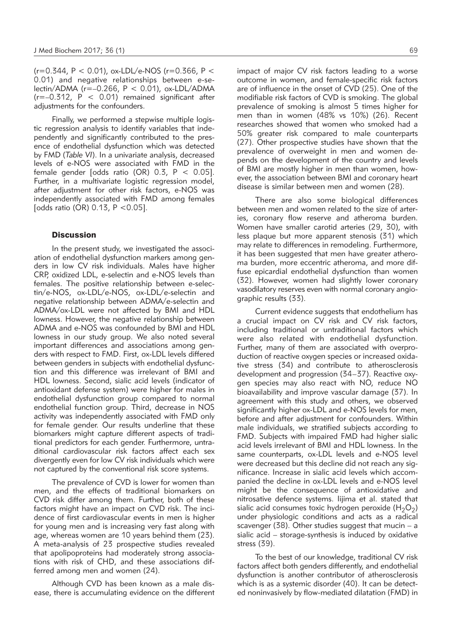(r=0.344, P < 0.01), ox-LDL/e-NOS (r=0.366, P < 0.01) and negative relationships between e-selectin/ADMA (r=–0.266, P < 0.01), ox-LDL/ADMA  $(r=-0.312, P < 0.01)$  remained significant after adjustments for the confounders.

Finally, we performed a stepwise multiple logistic regression analysis to identify variables that independently and significantly contributed to the presence of endothelial dysfunction which was detected by FMD (*Table VI*). In a univariate analysis, decreased levels of e-NOS were associated with FMD in the female gender [odds ratio (OR)  $0.3$ ,  $P < 0.05$ ]. Further, in a multivariate logistic regression model, after adjustment for other risk factors, e-NOS was independently associated with FMD among females [odds ratio (OR)  $0.13$ ,  $P < 0.05$ ].

## **Discussion**

In the present study, we investigated the association of endothelial dysfunction markers among genders in low CV risk individuals. Males have higher CRP, oxidized LDL, e-selectin and e-NOS levels than females. The positive relationship between e-selectin/e-NOS, ox-LDL/e-NOS, ox-LDL/e-selectin and negative relationship between ADMA/e-selectin and ADMA/ox-LDL were not affected by BMI and HDL lowness. However, the negative relationship between ADMA and e-NOS was confounded by BMI and HDL lowness in our study group. We also noted several important differences and associations among genders with respect to FMD. First, ox-LDL levels differed between genders in subjects with endothelial dysfunction and this difference was irrelevant of BMI and HDL lowness. Second, sialic acid levels (indicator of antioxidant defense system) were higher for males in endothelial dysfunction group compared to normal endothelial function group. Third, decrease in NOS activity was independently associated with FMD only for female gender. Our results underline that these biomarkers might capture different aspects of traditional predictors for each gender. Furthermore, untraditional cardiovascular risk factors affect each sex divergently even for low CV risk individuals which were not captured by the conventional risk score systems.

The prevalence of CVD is lower for women than men, and the effects of traditional biomarkers on CVD risk differ among them. Further, both of these factors might have an impact on CVD risk. The incidence of first cardiovascular events in men is higher for young men and is increasing very fast along with age, whereas women are 10 years behind them (23). A meta-analysis of 23 prospective studies revealed that apolipoproteins had moderately strong associations with risk of CHD, and these associations differred among men and women (24).

Although CVD has been known as a male disease, there is accumulating evidence on the different impact of major CV risk factors leading to a worse outcome in women, and female-specific risk factors are of influence in the onset of CVD (25). One of the modifiable risk factors of CVD is smoking. The global prevalence of smoking is almost 5 times higher for men than in women (48% vs 10%) (26). Recent researches showed that women who smoked had a 50% greater risk compared to male counterparts (27). Other prospective studies have shown that the prevalence of overweight in men and women depends on the development of the country and levels of BMI are mostly higher in men than women, however, the association between BMI and coronary heart disease is similar between men and women (28).

There are also some biological differences between men and women related to the size of arteries, coronary flow reserve and atheroma burden. Women have smaller carotid arteries (29, 30), with less plaque but more apparent stenosis (31) which may relate to differences in remodeling. Furthermore, it has been suggested that men have greater atheroma burden, more eccentric atheroma, and more diffuse epicardial endothelial dysfunction than women (32). However, women had slightly lower coronary vasodilatory reserves even with normal coronary angiographic results (33).

Current evidence suggests that endothelium has a crucial impact on CV risk and CV risk factors, including traditional or untraditional factors which were also related with endothelial dysfunction. Further, many of them are associated with overproduction of reactive oxygen species or increased oxidative stress (34) and contribute to atherosclerosis development and progression (34–37). Reactive oxygen species may also react with NO, reduce NO bioavailability and improve vascular damage (37). In agreement with this study and others, we observed significantly higher ox-LDL and e-NOS levels for men, before and after adjustment for confounders. Within male individuals, we stratified subjects according to FMD. Subjects with impaired FMD had higher sialic acid levels irrelevant of BMI and HDL lowness. In the same counterparts, ox-LDL levels and e-NOS level were decreased but this decline did not reach any significance. Increase in sialic acid levels which accompanied the decline in ox-LDL levels and e-NOS level might be the consequence of antioxidative and nitrosative defence systems. Iijima et al. stated that sialic acid consumes toxic hydrogen peroxide  $(H_2O_2)$ under physiologic conditions and acts as a radical scavenger (38). Other studies suggest that mucin  $- a$ sialic acid – storage-synthesis is induced by oxidative stress (39).

To the best of our knowledge, traditional CV risk factors affect both genders differently, and endothelial dysfunction is another contributor of atherosclerosis which is as a systemic disorder (40). It can be detected noninvasively by flow-mediated dilatation (FMD) in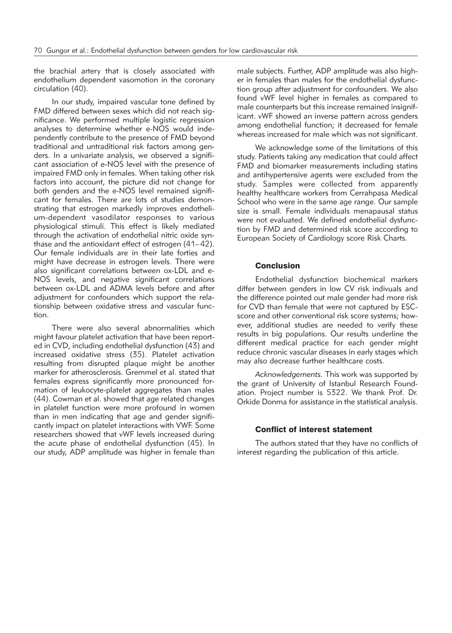the brachial artery that is closely associated with endothelium dependent vasomotion in the coronary circulation (40).

In our study, impaired vascular tone defined by FMD differed between sexes which did not reach significance. We performed multiple logistic regression analyses to determine whether e-NOS would independently contribute to the presence of FMD beyond traditional and untraditional risk factors among genders. In a univariate analysis, we observed a significant association of e-NOS level with the presence of impaired FMD only in females. When taking other risk factors into account, the picture did not change for both genders and the e-NOS level remained significant for females. There are lots of studies demonstrating that estrogen markedly improves endothelium-dependent vasodilator responses to various physiological stimuli. This effect is likely mediated through the activation of endothelial nitric oxide synthase and the antioxidant effect of estrogen (41–42). Our female individuals are in their late forties and might have decrease in estrogen levels. There were also significant correlations between ox-LDL and e-NOS levels, and negative significant correlations between ox-LDL and ADMA levels before and after adjustment for confounders which support the relationship between oxidative stress and vascular function.

There were also several abnormalities which might favour platelet activation that have been reported in CVD, including endothelial dysfunction (43) and increased oxidative stress (35). Platelet activation resulting from disrupted plaque might be another marker for atherosclerosis. Gremmel et al. stated that females express significantly more pronounced formation of leukocyte-platelet aggregates than males (44). Cowman et al. showed that age related changes in platelet function were more profound in women than in men indicating that age and gender significantly impact on platelet interactions with VWF. Some researchers showed that vWF levels increased during the acute phase of endothelial dysfunction (45). In our study, ADP amplitude was higher in female than

male subjects. Further, ADP amplitude was also higher in females than males for the endothelial dysfunction group after adjustment for confounders. We also found vWF level higher in females as compared to male counterparts but this increase remained insignificant. vWF showed an inverse pattern across genders among endothelial function; it decreased for female whereas increased for male which was not significant.

We acknowledge some of the limitations of this study. Patients taking any medication that could affect FMD and biomarker measurements including statins and antihypertensive agents were excluded from the study. Samples were collected from apparently healthy healthcare workers from Cerrahpasa Medical School who were in the same age range. Our sample size is small. Female individuals menapausal status were not evaluated. We defined endothelial dysfunction by FMD and determined risk score according to European Society of Cardiology score Risk Charts.

## Conclusion

Endothelial dysfunction biochemical markers differ between genders in low CV risk indivuals and the difference pointed out male gender had more risk for CVD than female that were not captured by ESCscore and other conventional risk score systems; however, additional studies are needed to verify these results in big populations. Our results underline the different medical practice for each gender might reduce chronic vascular diseases in early stages which may also decrease further healthcare costs.

*Acknowledgements.* This work was supported by the grant of University of Istanbul Research Foundation. Project number is 5322. We thank Prof. Dr. Orkide Donma for assistance in the statistical analysis.

# Conflict of interest statement

The authors stated that they have no conflicts of interest regarding the publication of this article.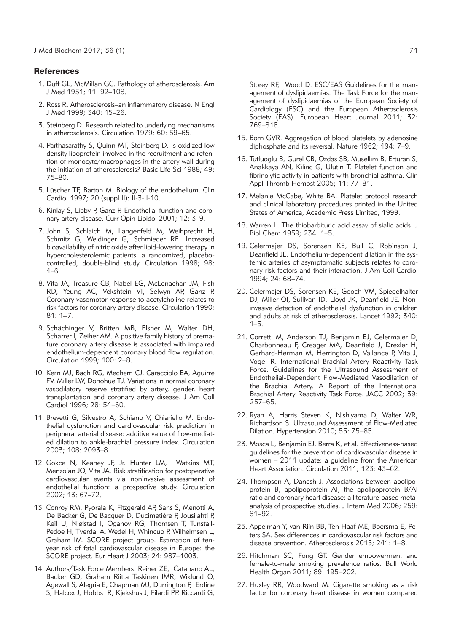#### **References**

- 1. Duff GL, McMillan GC. Pathology of atherosclerosis. Am J Med 1951; 11: 92–108.
- 2. Ross R. Atherosclerosis–an inflammatory disease. N Engl J Med 1999; 340: 15–26.
- 3. Steinberg D. Research related to underlying mechanisms in atherosclerosis. Circulation 1979; 60: 59–65.
- 4. Parthasarathy S, Quinn MT, Steinberg D. Is oxidized low density lipoprotein involved in the recruitment and retention of monocyte/macrophages in the artery wall during the initiation of atherosclerosis? Basic Life Sci 1988; 49: 75–80.
- 5. Lüscher TF, Barton M. Biology of the endothelium. Clin Cardiol 1997; 20 (suppl II): II-3-II-10.
- 6. Kinlay S, Libby P, Ganz P. Endothelial function and coronary artery disease. Curr Opin Lipidol 2001; 12: 3–9.
- 7. John S, Schlaich M, Langenfeld M, Weihprecht H, Schmitz G, Weidinger G, Schmieder RE. Increased bioavailability of nitric oxide after lipid-lowering therapy in hypercholesterolemic patients: a randomized, placebocontrolled, double-blind study. Circulation 1998; 98: 1–6.
- 8. Vita JA, Treasure CB, Nabel EG, McLenachan JM, Fish RD, Yeung AC, Vekshtein VI, Selwyn AP, Ganz P. Coronary vasomotor response to acetylcholine relates to risk factors for coronary artery disease. Circulation 1990; 81: 1–7.
- 9. Schächinger V, Britten MB, Elsner M, Walter DH, Scharrer I, Zeiher AM. A positive family history of premature coronary artery disease is associated with impaired endothelium-dependent coronary blood flow regulation. Circulation 1999; 100: 2–8.
- 10. Kern MJ, Bach RG, Mechem CJ, Caracciolo EA, Aguirre FV, Miller LW, Donohue TJ. Variations in normal coronary vasodilatory reserve stratified by artery, gender, heart transplantation and coronary artery disease. J Am Coll Cardiol 1996; 28: 54–60.
- 11. Brevetti G, Silvestro A, Schiano V, Chiariello M. Endothelial dysfunction and cardiovascular risk prediction in peripheral arterial disease: additive value of flow-mediated dilation to ankle-brachial pressure index. Circulation 2003; 108: 2093–8.
- 12. Gokce N, Keaney JF, Jr. Hunter LM, Watkins MT, Menzoian JO, Vita JA. Risk stratification for postoperative cardiovascular events via noninvasive assessment of endothelial function: a prospective study. Circulation 2002; 13: 67–72.
- 13. Conroy RM, Pyorala K, Fitzgerald AP, Sans S, Menotti A, De Backer G, De Bacquer D, Ducimetière P, Jousilahti P, Keil U, Njølstad I, Oganov RG, Thomsen T, Tunstall-Pedoe H, Tverdal A, Wedel H, Whincup P, Wilhelmsen L, Graham IM. SCORE project group. Estimation of tenyear risk of fatal cardiovascular disease in Europe: the SCORE project. Eur Heart J 2003; 24: 987–1003.
- 14. Authors/Task Force Members: Reiner ZE, Catapano AL, Backer GD, Graham Riitta Taskinen IMR, Wiklund O, Agewall S, Alegria E, Chapman MJ, Durrington P, Erdine S, Halcox J, Hobbs R, Kjekshus J, Filardi PP, Riccardi G,

Storey RF, Wood D. ESC/EAS Guidelines for the management of dyslipidaemias. The Task Force for the management of dyslipidaemias of the European Society of Cardiology (ESC) and the European Atherosclerosis Society (EAS). European Heart Journal 2011; 32: 769–818.

- 15. Born GVR. Aggregation of blood platelets by adenosine diphosphate and its reversal. Nature 1962; 194: 7–9.
- 16. Tutluoglu B, Gurel CB, Ozdas SB, Musellim B, Erturan S, Anakkaya AN, Kilinc G, Ulutin T. Platelet function and fibrinolytic activity in patients with bronchial asthma. Clin Appl Thromb Hemost 2005; 11: 77–81.
- 17. Melanie McCabe, White BA. Platelet protocol research and clinical laboratory procedures printed in the United States of America, Academic Press Limited, 1999.
- 18. Warren L. The thiobarbituric acid assay of sialic acids. J Biol Chem 1959; 234: 1–5.
- 19. Celermajer DS, Sorensen KE, Bull C, Robinson J, Deanfield JE. Endothelium-dependent dilation in the systemic arteries of asymptomatic subjects relates to coronary risk factors and their interaction. J Am Coll Cardiol 1994; 24: 68–74.
- 20. Celermajer DS, Sorensen KE, Gooch VM, Spiegelhalter DJ, Miller OI, Sullivan ID, Lloyd JK, Deanfield JE. Noninvasive detection of endothelial dysfunction in children and adults at risk of atherosclerosis. Lancet 1992; 340: 1–5.
- 21. Corretti M, Anderson TJ, Benjamin EJ, Celermajer D, Charbonneau F, Creager MA, Deanfield J, Drexler H, Gerhard-Herman M, Herrington D, Vallance P, Vita J, Vogel R. International Brachial Artery Reactivity Task Force. Guidelines for the Ultrasound Assessment of Endothelial-Dependent Flow-Mediated Vasodilation of the Brachial Artery. A Report of the International Brachial Artery Reactivity Task Force. JACC 2002; 39: 257–65.
- 22. Ryan A, Harris Steven K, Nishiyama D, Walter WR, Richardson S. Ultrasound Assessment of Flow-Mediated Dilation. Hypertension 2010; 55: 75–85.
- 23. Mosca L, Benjamin EJ, Berra K, et al. Effectiveness-based guidelines for the prevention of cardiovascular disease in women – 2011 update: a guideline from the American Heart Association. Circulation 2011; 123: 43–62.
- 24. Thompson A, Danesh J. Associations between apolipoprotein B, apolipoprotein AI, the apolipoprotein B/AI ratio and coronary heart disease: a literature-based metaanalysis of prospective studies. J Intern Med 2006; 259: 81–92.
- 25. Appelman Y, van Rijn BB, Ten Haaf ME, Boersma E, Peters SA. Sex differences in cardiovascular risk factors and disease prevention. Atherosclerosis 2015; 241: 1–8.
- 26. Hitchman SC, Fong GT. Gender empowerment and female-to-male smoking prevalence ratios. Bull World Health Organ 2011; 89: 195–202.
- 27. Huxley RR, Woodward M. Cigarette smoking as a risk factor for coronary heart disease in women compared